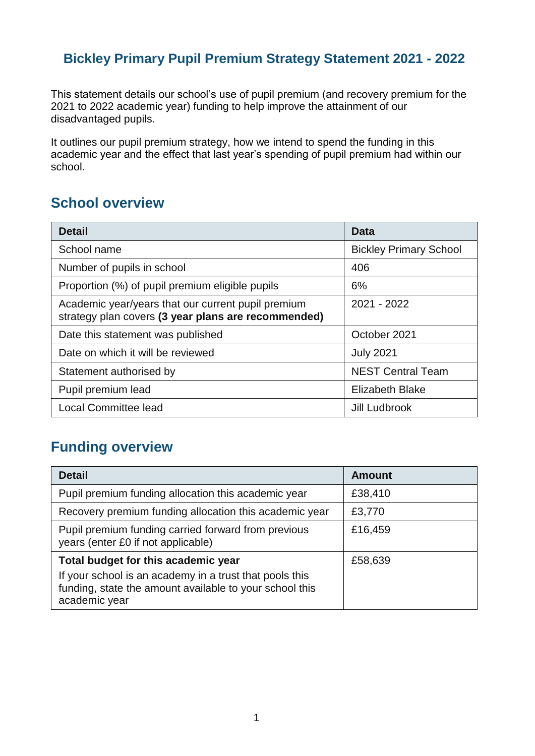### **Bickley Primary Pupil Premium Strategy Statement 2021 - 2022**

This statement details our school's use of pupil premium (and recovery premium for the 2021 to 2022 academic year) funding to help improve the attainment of our disadvantaged pupils.

It outlines our pupil premium strategy, how we intend to spend the funding in this academic year and the effect that last year's spending of pupil premium had within our school.

### **School overview**

| <b>Detail</b>                                                                                             | Data                          |
|-----------------------------------------------------------------------------------------------------------|-------------------------------|
| School name                                                                                               | <b>Bickley Primary School</b> |
| Number of pupils in school                                                                                | 406                           |
| Proportion (%) of pupil premium eligible pupils                                                           | 6%                            |
| Academic year/years that our current pupil premium<br>strategy plan covers (3 year plans are recommended) | 2021 - 2022                   |
| Date this statement was published                                                                         | October 2021                  |
| Date on which it will be reviewed                                                                         | <b>July 2021</b>              |
| Statement authorised by                                                                                   | <b>NEST Central Team</b>      |
| Pupil premium lead                                                                                        | <b>Elizabeth Blake</b>        |
| <b>Local Committee lead</b>                                                                               | Jill Ludbrook                 |

# **Funding overview**

| <b>Detail</b>                                                                                                                                                              | <b>Amount</b> |
|----------------------------------------------------------------------------------------------------------------------------------------------------------------------------|---------------|
| Pupil premium funding allocation this academic year                                                                                                                        | £38,410       |
| Recovery premium funding allocation this academic year                                                                                                                     | £3,770        |
| Pupil premium funding carried forward from previous<br>years (enter £0 if not applicable)                                                                                  | £16,459       |
| Total budget for this academic year<br>If your school is an academy in a trust that pools this<br>funding, state the amount available to your school this<br>academic year | £58,639       |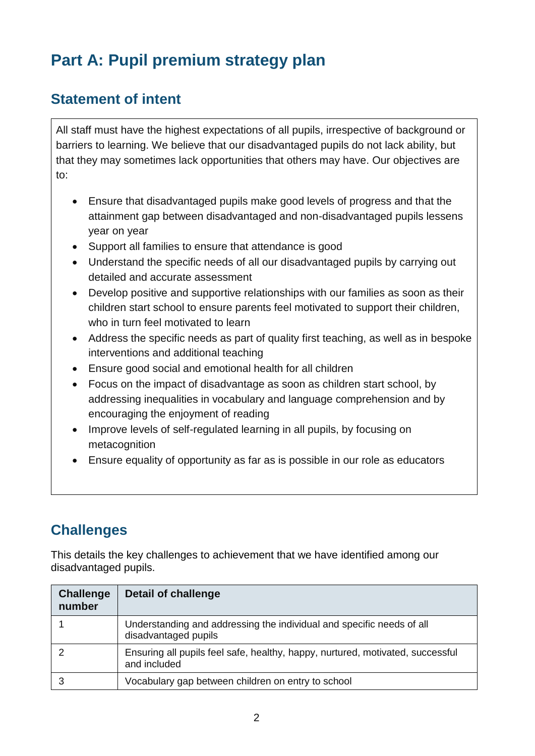# **Part A: Pupil premium strategy plan**

## **Statement of intent**

All staff must have the highest expectations of all pupils, irrespective of background or barriers to learning. We believe that our disadvantaged pupils do not lack ability, but that they may sometimes lack opportunities that others may have. Our objectives are to:

- Ensure that disadvantaged pupils make good levels of progress and that the attainment gap between disadvantaged and non-disadvantaged pupils lessens year on year
- Support all families to ensure that attendance is good
- Understand the specific needs of all our disadvantaged pupils by carrying out detailed and accurate assessment
- Develop positive and supportive relationships with our families as soon as their children start school to ensure parents feel motivated to support their children, who in turn feel motivated to learn
- Address the specific needs as part of quality first teaching, as well as in bespoke interventions and additional teaching
- Ensure good social and emotional health for all children
- Focus on the impact of disadvantage as soon as children start school, by addressing inequalities in vocabulary and language comprehension and by encouraging the enjoyment of reading
- Improve levels of self-regulated learning in all pupils, by focusing on metacognition
- Ensure equality of opportunity as far as is possible in our role as educators

# **Challenges**

This details the key challenges to achievement that we have identified among our disadvantaged pupils.

| <b>Challenge</b><br>number | <b>Detail of challenge</b>                                                                     |
|----------------------------|------------------------------------------------------------------------------------------------|
|                            | Understanding and addressing the individual and specific needs of all<br>disadvantaged pupils  |
|                            | Ensuring all pupils feel safe, healthy, happy, nurtured, motivated, successful<br>and included |
|                            | Vocabulary gap between children on entry to school                                             |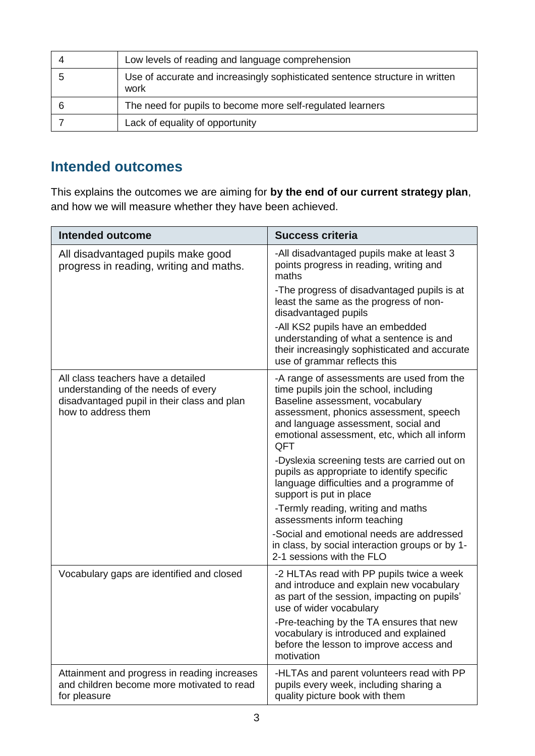| Low levels of reading and language comprehension                                     |
|--------------------------------------------------------------------------------------|
| Use of accurate and increasingly sophisticated sentence structure in written<br>work |
| The need for pupils to become more self-regulated learners                           |
| Lack of equality of opportunity                                                      |

### **Intended outcomes**

This explains the outcomes we are aiming for **by the end of our current strategy plan**, and how we will measure whether they have been achieved.

| <b>Intended outcome</b>                                                                                                                         | <b>Success criteria</b>                                                                                                                                                                                                                                                                       |
|-------------------------------------------------------------------------------------------------------------------------------------------------|-----------------------------------------------------------------------------------------------------------------------------------------------------------------------------------------------------------------------------------------------------------------------------------------------|
| All disadvantaged pupils make good<br>progress in reading, writing and maths.                                                                   | -All disadvantaged pupils make at least 3<br>points progress in reading, writing and<br>maths<br>-The progress of disadvantaged pupils is at<br>least the same as the progress of non-<br>disadvantaged pupils<br>-All KS2 pupils have an embedded<br>understanding of what a sentence is and |
|                                                                                                                                                 | their increasingly sophisticated and accurate<br>use of grammar reflects this                                                                                                                                                                                                                 |
| All class teachers have a detailed<br>understanding of the needs of every<br>disadvantaged pupil in their class and plan<br>how to address them | -A range of assessments are used from the<br>time pupils join the school, including<br>Baseline assessment, vocabulary<br>assessment, phonics assessment, speech<br>and language assessment, social and<br>emotional assessment, etc, which all inform<br>QFT                                 |
|                                                                                                                                                 | -Dyslexia screening tests are carried out on<br>pupils as appropriate to identify specific<br>language difficulties and a programme of<br>support is put in place                                                                                                                             |
|                                                                                                                                                 | -Termly reading, writing and maths<br>assessments inform teaching                                                                                                                                                                                                                             |
|                                                                                                                                                 | -Social and emotional needs are addressed<br>in class, by social interaction groups or by 1-<br>2-1 sessions with the FLO                                                                                                                                                                     |
| Vocabulary gaps are identified and closed                                                                                                       | -2 HLTAs read with PP pupils twice a week<br>and introduce and explain new vocabulary<br>as part of the session, impacting on pupils'<br>use of wider vocabulary                                                                                                                              |
|                                                                                                                                                 | -Pre-teaching by the TA ensures that new<br>vocabulary is introduced and explained<br>before the lesson to improve access and<br>motivation                                                                                                                                                   |
| Attainment and progress in reading increases<br>and children become more motivated to read<br>for pleasure                                      | -HLTAs and parent volunteers read with PP<br>pupils every week, including sharing a<br>quality picture book with them                                                                                                                                                                         |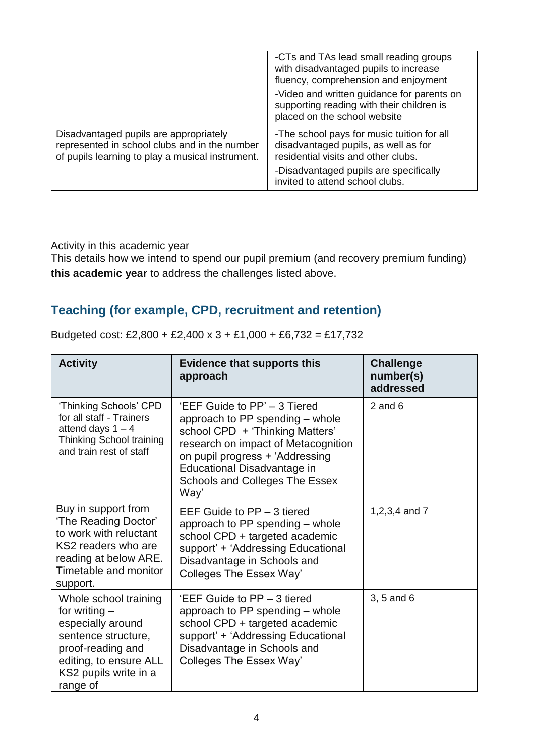|                                                                                                                                             | -CTs and TAs lead small reading groups<br>with disadvantaged pupils to increase<br>fluency, comprehension and enjoyment   |
|---------------------------------------------------------------------------------------------------------------------------------------------|---------------------------------------------------------------------------------------------------------------------------|
|                                                                                                                                             | -Video and written guidance for parents on<br>supporting reading with their children is<br>placed on the school website   |
| Disadvantaged pupils are appropriately<br>represented in school clubs and in the number<br>of pupils learning to play a musical instrument. | -The school pays for music tuition for all<br>disadvantaged pupils, as well as for<br>residential visits and other clubs. |
|                                                                                                                                             | -Disadvantaged pupils are specifically<br>invited to attend school clubs.                                                 |

Activity in this academic year

This details how we intend to spend our pupil premium (and recovery premium funding) **this academic year** to address the challenges listed above.

#### **Teaching (for example, CPD, recruitment and retention)**

| <b>Activity</b>                                                                                                                                                          | <b>Evidence that supports this</b><br>approach                                                                                                                                                                                                               | <b>Challenge</b><br>number(s)<br>addressed |
|--------------------------------------------------------------------------------------------------------------------------------------------------------------------------|--------------------------------------------------------------------------------------------------------------------------------------------------------------------------------------------------------------------------------------------------------------|--------------------------------------------|
| 'Thinking Schools' CPD<br>for all staff - Trainers<br>attend days $1 - 4$<br>Thinking School training<br>and train rest of staff                                         | 'EEF Guide to PP' – 3 Tiered<br>approach to PP spending – whole<br>school CPD + 'Thinking Matters'<br>research on impact of Metacognition<br>on pupil progress + 'Addressing<br>Educational Disadvantage in<br><b>Schools and Colleges The Essex</b><br>Way' | $2$ and 6                                  |
| Buy in support from<br>'The Reading Doctor'<br>to work with reluctant<br>KS2 readers who are<br>reading at below ARE.<br>Timetable and monitor<br>support.               | EEF Guide to $PP - 3$ tiered<br>approach to PP spending – whole<br>school CPD + targeted academic<br>support' + 'Addressing Educational<br>Disadvantage in Schools and<br>Colleges The Essex Way'                                                            | 1,2,3,4 and 7                              |
| Whole school training<br>for writing $-$<br>especially around<br>sentence structure,<br>proof-reading and<br>editing, to ensure ALL<br>KS2 pupils write in a<br>range of | 'EEF Guide to PP – 3 tiered<br>approach to PP spending - whole<br>school CPD + targeted academic<br>support' + 'Addressing Educational<br>Disadvantage in Schools and<br>Colleges The Essex Way'                                                             | 3, 5 and 6                                 |

Budgeted cost: £2,800 + £2,400 x 3 + £1,000 + £6,732 = £17,732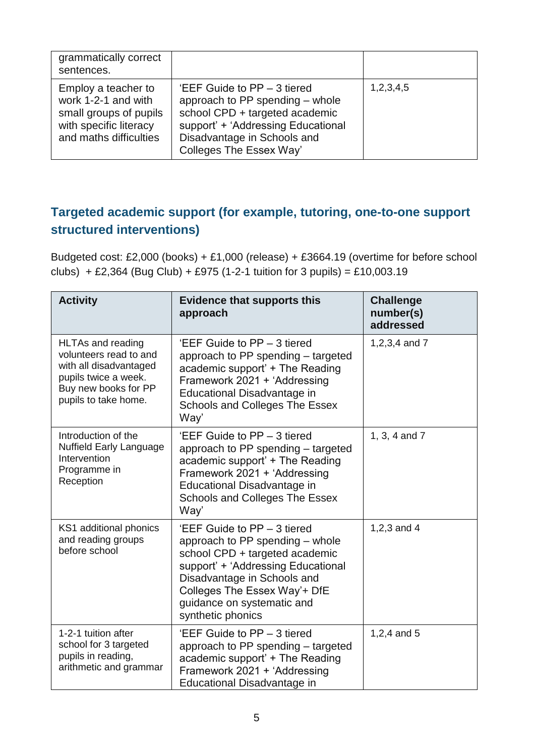| grammatically correct<br>sentences.                                                                                      |                                                                                                                                                                                                    |           |
|--------------------------------------------------------------------------------------------------------------------------|----------------------------------------------------------------------------------------------------------------------------------------------------------------------------------------------------|-----------|
| Employ a teacher to<br>work 1-2-1 and with<br>small groups of pupils<br>with specific literacy<br>and maths difficulties | 'EEF Guide to $PP - 3$ tiered<br>approach to PP spending – whole<br>school CPD + targeted academic<br>support' + 'Addressing Educational<br>Disadvantage in Schools and<br>Colleges The Essex Way' | 1,2,3,4,5 |

### **Targeted academic support (for example, tutoring, one-to-one support structured interventions)**

Budgeted cost: £2,000 (books) + £1,000 (release) + £3664.19 (overtime for before school clubs) + £2,364 (Bug Club) + £975 (1-2-1 tuition for 3 pupils) = £10,003.19

| <b>Activity</b>                                                                                                                                      | <b>Evidence that supports this</b><br>approach                                                                                                                                                                                                           | <b>Challenge</b><br>number(s)<br>addressed |
|------------------------------------------------------------------------------------------------------------------------------------------------------|----------------------------------------------------------------------------------------------------------------------------------------------------------------------------------------------------------------------------------------------------------|--------------------------------------------|
| <b>HLTAs and reading</b><br>volunteers read to and<br>with all disadvantaged<br>pupils twice a week.<br>Buy new books for PP<br>pupils to take home. | 'EEF Guide to PP - 3 tiered<br>approach to PP spending – targeted<br>academic support' + The Reading<br>Framework 2021 + 'Addressing<br>Educational Disadvantage in<br><b>Schools and Colleges The Essex</b><br>Way'                                     | 1,2,3,4 and 7                              |
| Introduction of the<br><b>Nuffield Early Language</b><br>Intervention<br>Programme in<br>Reception                                                   | 'EEF Guide to PP - 3 tiered<br>approach to PP spending – targeted<br>academic support' + The Reading<br>Framework 2021 + 'Addressing<br>Educational Disadvantage in<br><b>Schools and Colleges The Essex</b><br>Way'                                     | 1, 3, 4 and 7                              |
| KS1 additional phonics<br>and reading groups<br>before school                                                                                        | 'EEF Guide to PP - 3 tiered<br>approach to PP spending – whole<br>school CPD + targeted academic<br>support' + 'Addressing Educational<br>Disadvantage in Schools and<br>Colleges The Essex Way'+ DfE<br>guidance on systematic and<br>synthetic phonics | 1,2,3 and 4                                |
| 1-2-1 tuition after<br>school for 3 targeted<br>pupils in reading,<br>arithmetic and grammar                                                         | 'EEF Guide to PP - 3 tiered<br>approach to PP spending – targeted<br>academic support' + The Reading<br>Framework 2021 + 'Addressing<br>Educational Disadvantage in                                                                                      | 1,2,4 and 5                                |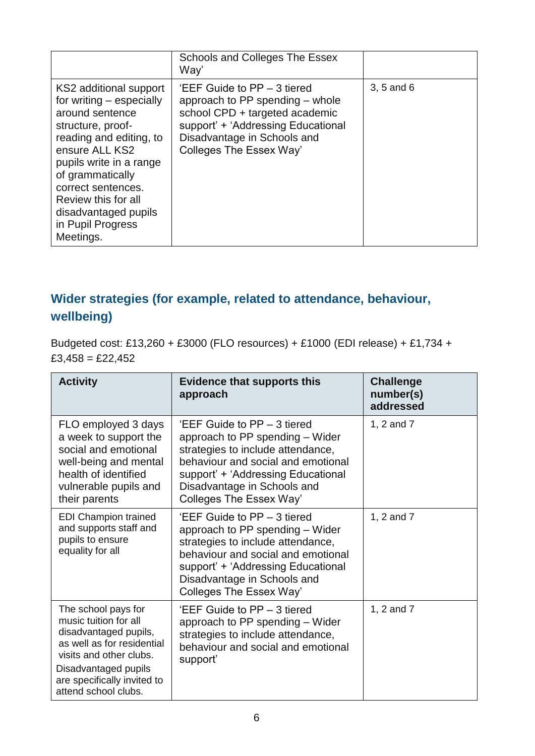|                                                                                                                                                                                                                                                                                               | Schools and Colleges The Essex<br>Way'                                                                                                                                                           |            |
|-----------------------------------------------------------------------------------------------------------------------------------------------------------------------------------------------------------------------------------------------------------------------------------------------|--------------------------------------------------------------------------------------------------------------------------------------------------------------------------------------------------|------------|
| KS2 additional support<br>for writing – especially<br>around sentence<br>structure, proof-<br>reading and editing, to<br>ensure ALL KS2<br>pupils write in a range<br>of grammatically<br>correct sentences.<br>Review this for all<br>disadvantaged pupils<br>in Pupil Progress<br>Meetings. | 'EEF Guide to PP – 3 tiered<br>approach to PP spending – whole<br>school CPD + targeted academic<br>support' + 'Addressing Educational<br>Disadvantage in Schools and<br>Colleges The Essex Way' | 3, 5 and 6 |

### **Wider strategies (for example, related to attendance, behaviour, wellbeing)**

Budgeted cost: £13,260 + £3000 (FLO resources) + £1000 (EDI release) + £1,734 +  $£3,458 = £22,452$ 

| <b>Activity</b>                                                                                                                                                                                               | <b>Evidence that supports this</b><br>approach                                                                                                                                                                                            | <b>Challenge</b><br>number(s)<br>addressed |
|---------------------------------------------------------------------------------------------------------------------------------------------------------------------------------------------------------------|-------------------------------------------------------------------------------------------------------------------------------------------------------------------------------------------------------------------------------------------|--------------------------------------------|
| FLO employed 3 days<br>a week to support the<br>social and emotional<br>well-being and mental<br>health of identified<br>vulnerable pupils and<br>their parents                                               | 'EEF Guide to PP – 3 tiered<br>approach to PP spending – Wider<br>strategies to include attendance,<br>behaviour and social and emotional<br>support' + 'Addressing Educational<br>Disadvantage in Schools and<br>Colleges The Essex Way' | 1, 2 and 7                                 |
| <b>EDI Champion trained</b><br>and supports staff and<br>pupils to ensure<br>equality for all                                                                                                                 | 'EEF Guide to PP - 3 tiered<br>approach to PP spending - Wider<br>strategies to include attendance,<br>behaviour and social and emotional<br>support' + 'Addressing Educational<br>Disadvantage in Schools and<br>Colleges The Essex Way' | 1, 2 and 7                                 |
| The school pays for<br>music tuition for all<br>disadvantaged pupils,<br>as well as for residential<br>visits and other clubs.<br>Disadvantaged pupils<br>are specifically invited to<br>attend school clubs. | 'EEF Guide to PP – 3 tiered<br>approach to PP spending - Wider<br>strategies to include attendance,<br>behaviour and social and emotional<br>support'                                                                                     | 1, 2 and 7                                 |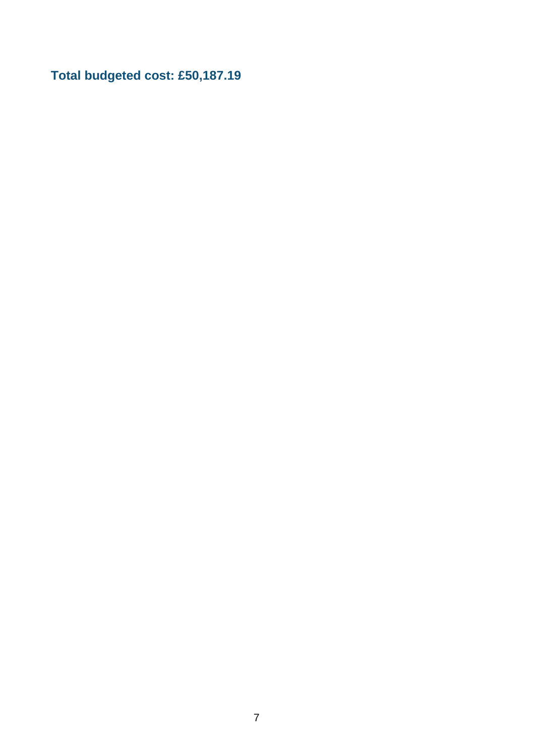**Total budgeted cost: £50,187.19**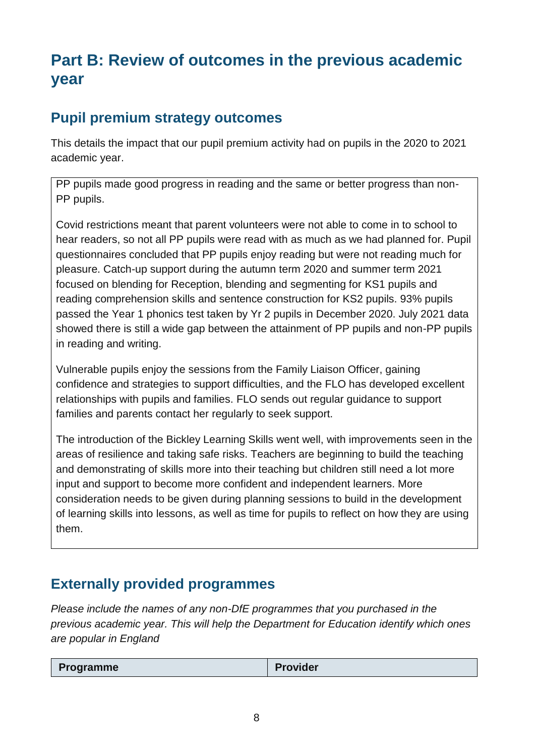# **Part B: Review of outcomes in the previous academic year**

## **Pupil premium strategy outcomes**

This details the impact that our pupil premium activity had on pupils in the 2020 to 2021 academic year.

PP pupils made good progress in reading and the same or better progress than non-PP pupils.

Covid restrictions meant that parent volunteers were not able to come in to school to hear readers, so not all PP pupils were read with as much as we had planned for. Pupil questionnaires concluded that PP pupils enjoy reading but were not reading much for pleasure. Catch-up support during the autumn term 2020 and summer term 2021 focused on blending for Reception, blending and segmenting for KS1 pupils and reading comprehension skills and sentence construction for KS2 pupils. 93% pupils passed the Year 1 phonics test taken by Yr 2 pupils in December 2020. July 2021 data showed there is still a wide gap between the attainment of PP pupils and non-PP pupils in reading and writing.

Vulnerable pupils enjoy the sessions from the Family Liaison Officer, gaining confidence and strategies to support difficulties, and the FLO has developed excellent relationships with pupils and families. FLO sends out regular guidance to support families and parents contact her regularly to seek support.

The introduction of the Bickley Learning Skills went well, with improvements seen in the areas of resilience and taking safe risks. Teachers are beginning to build the teaching and demonstrating of skills more into their teaching but children still need a lot more input and support to become more confident and independent learners. More consideration needs to be given during planning sessions to build in the development of learning skills into lessons, as well as time for pupils to reflect on how they are using them.

# **Externally provided programmes**

*Please include the names of any non-DfE programmes that you purchased in the previous academic year. This will help the Department for Education identify which ones are popular in England*

| <b>Provider</b><br><b>Programme</b> |
|-------------------------------------|
|-------------------------------------|